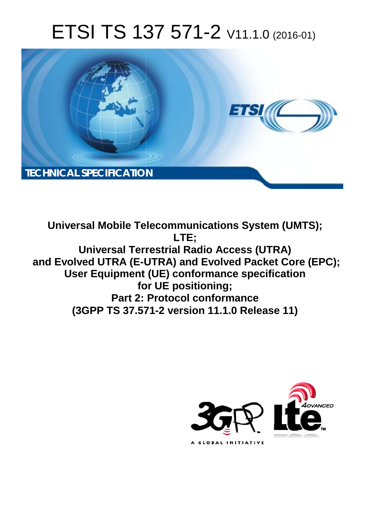# ETSI TS 137 571-2 V11.1.0 (2016-01)



**Universal Mobile Tel elecommunications System ( (UMTS); Universal Terrestrial Radio Access (UTRA)** and Evolved UTRA (E-UTRA) and Evolved Packet Core (EPC); User Equipment (UE) conformance specification **for for UE positioning; Part 2: Protocol conformance (3GPP TS 37.57 571-2 version 11.1.0 Release 1 e 11) LTE;** 

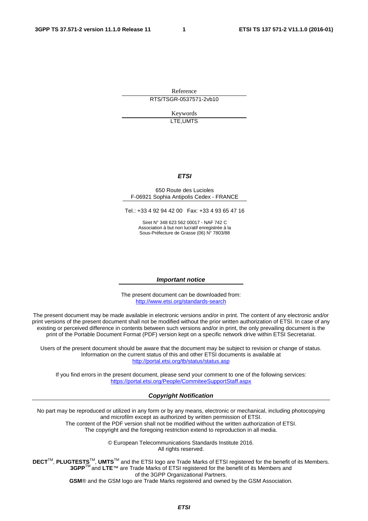Reference RTS/TSGR-0537571-2vb10

> Keywords LTE,UMTS

#### *ETSI*

#### 650 Route des Lucioles F-06921 Sophia Antipolis Cedex - FRANCE

Tel.: +33 4 92 94 42 00 Fax: +33 4 93 65 47 16

Siret N° 348 623 562 00017 - NAF 742 C Association à but non lucratif enregistrée à la Sous-Préfecture de Grasse (06) N° 7803/88

#### *Important notice*

The present document can be downloaded from: <http://www.etsi.org/standards-search>

The present document may be made available in electronic versions and/or in print. The content of any electronic and/or print versions of the present document shall not be modified without the prior written authorization of ETSI. In case of any existing or perceived difference in contents between such versions and/or in print, the only prevailing document is the print of the Portable Document Format (PDF) version kept on a specific network drive within ETSI Secretariat.

Users of the present document should be aware that the document may be subject to revision or change of status. Information on the current status of this and other ETSI documents is available at <http://portal.etsi.org/tb/status/status.asp>

If you find errors in the present document, please send your comment to one of the following services: <https://portal.etsi.org/People/CommiteeSupportStaff.aspx>

#### *Copyright Notification*

No part may be reproduced or utilized in any form or by any means, electronic or mechanical, including photocopying and microfilm except as authorized by written permission of ETSI.

The content of the PDF version shall not be modified without the written authorization of ETSI. The copyright and the foregoing restriction extend to reproduction in all media.

> © European Telecommunications Standards Institute 2016. All rights reserved.

**DECT**TM, **PLUGTESTS**TM, **UMTS**TM and the ETSI logo are Trade Marks of ETSI registered for the benefit of its Members. **3GPP**TM and **LTE**™ are Trade Marks of ETSI registered for the benefit of its Members and of the 3GPP Organizational Partners.

**GSM**® and the GSM logo are Trade Marks registered and owned by the GSM Association.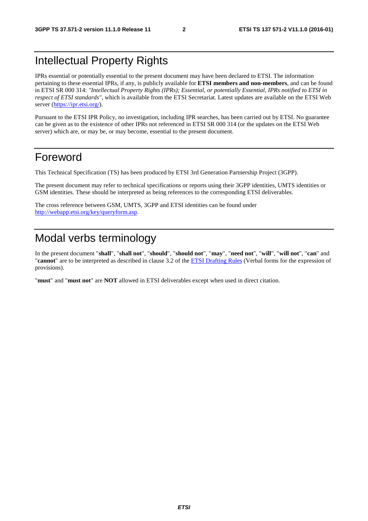# Intellectual Property Rights

IPRs essential or potentially essential to the present document may have been declared to ETSI. The information pertaining to these essential IPRs, if any, is publicly available for **ETSI members and non-members**, and can be found in ETSI SR 000 314: *"Intellectual Property Rights (IPRs); Essential, or potentially Essential, IPRs notified to ETSI in respect of ETSI standards"*, which is available from the ETSI Secretariat. Latest updates are available on the ETSI Web server ([https://ipr.etsi.org/\)](https://ipr.etsi.org/).

Pursuant to the ETSI IPR Policy, no investigation, including IPR searches, has been carried out by ETSI. No guarantee can be given as to the existence of other IPRs not referenced in ETSI SR 000 314 (or the updates on the ETSI Web server) which are, or may be, or may become, essential to the present document.

## Foreword

This Technical Specification (TS) has been produced by ETSI 3rd Generation Partnership Project (3GPP).

The present document may refer to technical specifications or reports using their 3GPP identities, UMTS identities or GSM identities. These should be interpreted as being references to the corresponding ETSI deliverables.

The cross reference between GSM, UMTS, 3GPP and ETSI identities can be found under [http://webapp.etsi.org/key/queryform.asp.](http://webapp.etsi.org/key/queryform.asp)

# Modal verbs terminology

In the present document "**shall**", "**shall not**", "**should**", "**should not**", "**may**", "**need not**", "**will**", "**will not**", "**can**" and "**cannot**" are to be interpreted as described in clause 3.2 of the [ETSI Drafting Rules \(](http://portal.etsi.org/Help/editHelp!/Howtostart/ETSIDraftingRules.aspx)Verbal forms for the expression of provisions).

"**must**" and "**must not**" are **NOT** allowed in ETSI deliverables except when used in direct citation.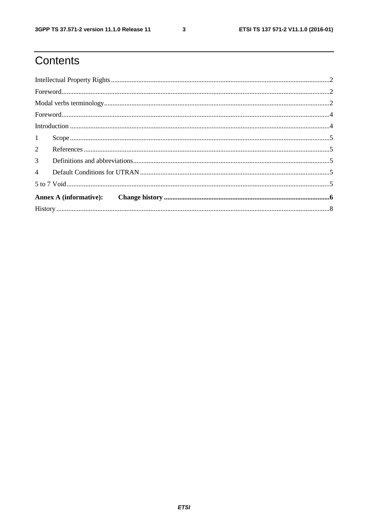$\mathbf{3}$ 

# Contents

| $\textbf{For} \texttt{word} \texttt{} \texttt{} \texttt{} \texttt{} \texttt{} \texttt{} \texttt{} \texttt{} \texttt{} \texttt{} \texttt{} \texttt{} \texttt{} \texttt{} \texttt{} \texttt{} \texttt{} \texttt{} \texttt{} \texttt{} \texttt{} \texttt{} \texttt{} \texttt{} \texttt{} \texttt{} \texttt{} \texttt{} \texttt{} \texttt{} \texttt{} \texttt{} \texttt{} \texttt{} \texttt{$ |  |
|-------------------------------------------------------------------------------------------------------------------------------------------------------------------------------------------------------------------------------------------------------------------------------------------------------------------------------------------------------------------------------------------|--|
|                                                                                                                                                                                                                                                                                                                                                                                           |  |
|                                                                                                                                                                                                                                                                                                                                                                                           |  |
|                                                                                                                                                                                                                                                                                                                                                                                           |  |
| 1                                                                                                                                                                                                                                                                                                                                                                                         |  |
| $\overline{2}$                                                                                                                                                                                                                                                                                                                                                                            |  |
| 3 <sup>7</sup>                                                                                                                                                                                                                                                                                                                                                                            |  |
| $\overline{4}$                                                                                                                                                                                                                                                                                                                                                                            |  |
|                                                                                                                                                                                                                                                                                                                                                                                           |  |
|                                                                                                                                                                                                                                                                                                                                                                                           |  |
|                                                                                                                                                                                                                                                                                                                                                                                           |  |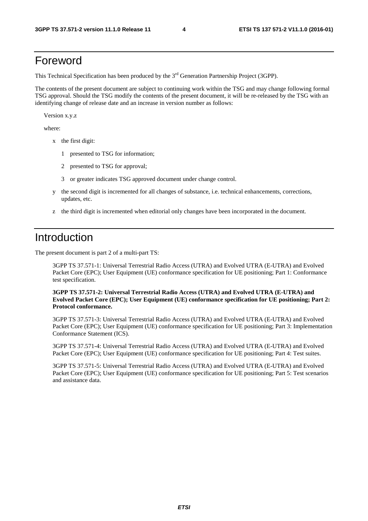## Foreword

This Technical Specification has been produced by the 3<sup>rd</sup> Generation Partnership Project (3GPP).

The contents of the present document are subject to continuing work within the TSG and may change following formal TSG approval. Should the TSG modify the contents of the present document, it will be re-released by the TSG with an identifying change of release date and an increase in version number as follows:

Version x.y.z

where:

- x the first digit:
	- 1 presented to TSG for information;
	- 2 presented to TSG for approval;
	- 3 or greater indicates TSG approved document under change control.
- y the second digit is incremented for all changes of substance, i.e. technical enhancements, corrections, updates, etc.
- z the third digit is incremented when editorial only changes have been incorporated in the document.

#### Introduction

The present document is part 2 of a multi-part TS:

3GPP TS 37.571-1: Universal Terrestrial Radio Access (UTRA) and Evolved UTRA (E-UTRA) and Evolved Packet Core (EPC); User Equipment (UE) conformance specification for UE positioning; Part 1: Conformance test specification.

**3GPP TS 37.571-2: Universal Terrestrial Radio Access (UTRA) and Evolved UTRA (E-UTRA) and Evolved Packet Core (EPC); User Equipment (UE) conformance specification for UE positioning; Part 2: Protocol conformance.** 

 3GPP TS 37.571-3: Universal Terrestrial Radio Access (UTRA) and Evolved UTRA (E-UTRA) and Evolved Packet Core (EPC); User Equipment (UE) conformance specification for UE positioning; Part 3: Implementation Conformance Statement (ICS).

3GPP TS 37.571-4: Universal Terrestrial Radio Access (UTRA) and Evolved UTRA (E-UTRA) and Evolved Packet Core (EPC); User Equipment (UE) conformance specification for UE positioning; Part 4: Test suites.

3GPP TS 37.571-5: Universal Terrestrial Radio Access (UTRA) and Evolved UTRA (E-UTRA) and Evolved Packet Core (EPC); User Equipment (UE) conformance specification for UE positioning; Part 5: Test scenarios and assistance data.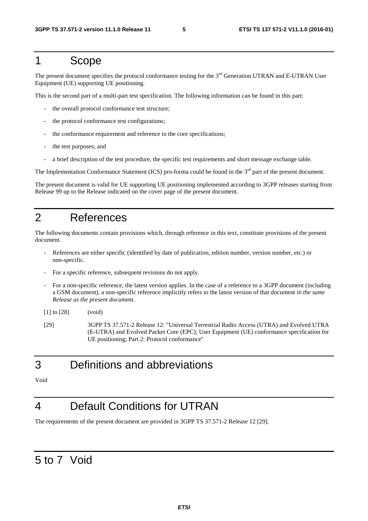#### 1 Scope

The present document specifies the protocol conformance testing for the 3<sup>rd</sup> Generation UTRAN and E-UTRAN User Equipment (UE) supporting UE positioning.

This is the second part of a multi-part test specification. The following information can be found in this part:

- the overall protocol conformance test structure;
- the protocol conformance test configurations;
- the conformance requirement and reference to the core specifications;
- the test purposes; and
- a brief description of the test procedure, the specific test requirements and short message exchange table.

The Implementation Conformance Statement (ICS) pro-forma could be found in the 3<sup>rd</sup> part of the present document.

The present document is valid for UE supporting UE positioning implemented according to 3GPP releases starting from Release 99 up to the Release indicated on the cover page of the present document.

## 2 References

The following documents contain provisions which, through reference in this text, constitute provisions of the present document.

- References are either specific (identified by date of publication, edition number, version number, etc.) or non-specific.
- For a specific reference, subsequent revisions do not apply.
- For a non-specific reference, the latest version applies. In the case of a reference to a 3GPP document (including a GSM document), a non-specific reference implicitly refers to the latest version of that document *in the same Release as the present document*.

[1] to [28] (void)

[29] 3GPP TS 37.571-2 Release 12: "Universal Terrestrial Radio Access (UTRA) and Evolved UTRA (E-UTRA) and Evolved Packet Core (EPC); User Equipment (UE) conformance specification for UE positioning; Part 2: Protocol conformance"

## 3 Definitions and abbreviations

Void

# 4 Default Conditions for UTRAN

The requirements of the present document are provided in 3GPP TS 37.571-2 Release 12 [29].

# 5 to 7 Void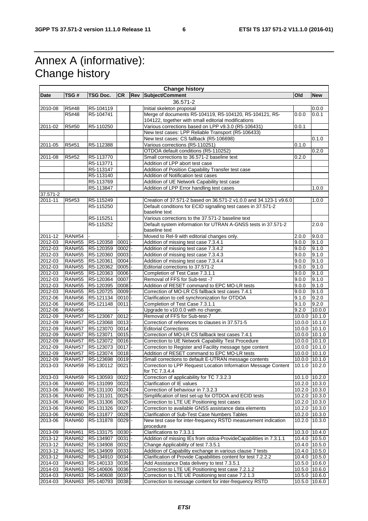# Annex A (informative): Change history

 $\mathbf{r}$ 

|                    |               |                  |           |     | <b>Change history</b>                                                            |        |                   |
|--------------------|---------------|------------------|-----------|-----|----------------------------------------------------------------------------------|--------|-------------------|
| Date               | TSG #         | TSG Doc.         | <b>CR</b> | Rev | Subject/Comment                                                                  | Old    | <b>New</b>        |
|                    |               |                  |           |     | 36.571-2                                                                         |        |                   |
| 2010-08            | R5#48         | R5-104119        |           |     | Initial skeleton proposal                                                        |        | 0.0.0             |
|                    | R5#48         | R5-104741        |           |     | Merge of documents R5-104119, R5-104120, R5-104121, R5-                          | 0.0.0  | 0.0.1             |
|                    |               |                  |           |     | 104122, together with small editorial modifications                              |        |                   |
|                    |               |                  |           |     |                                                                                  |        |                   |
| 2011-02            | R5#50         | R5-110250        |           |     | Various corrections based on LPP v9.3.0 (R5-106431)                              | 0.0.1  |                   |
|                    |               |                  |           |     | New test cases: LPP Reliable Transport (R5-106433)                               |        |                   |
|                    |               |                  |           |     | New test cases: CS fallback (R5-106698)                                          |        | 0.1.0             |
| 2011-05            | R5#51         | R5-112388        |           |     | Various corrections (R5-110251)                                                  | 0.1.0  |                   |
|                    |               |                  |           |     | OTDOA default conditions (R5-110252)                                             |        | 0.2.0             |
| 2011-08            | R5#52         | R5-113770        |           |     | Small corrections to 36.571-2 baseline text                                      | 0.2.0  |                   |
|                    |               | R5-113771        |           |     | Addition of LPP abort test case                                                  |        |                   |
|                    |               | R5-113147        |           |     | Addition of Position Capability Transfer test case                               |        |                   |
|                    |               | R5-113140        |           |     | Addition of Notification test cases                                              |        |                   |
|                    |               | R5-113769        |           |     | Addition of UE Network Capability test case                                      |        |                   |
|                    |               |                  |           |     |                                                                                  |        | 1.0.0             |
|                    |               | R5-113847        |           |     | Addition of LPP Error handling test cases                                        |        |                   |
| 37.571-2           |               |                  |           |     |                                                                                  |        |                   |
| 2011-11            | R5#53         | R5-115249        |           |     | Creation of 37.571-2 based on 36.571-2 v1.0.0 and 34.123-1 v9.6.0                |        | 1.0.0             |
|                    |               | R5-115250        |           |     | Default conditions for ECID signalling test cases in 37.571-2                    |        |                   |
|                    |               |                  |           |     | baseline text                                                                    |        |                   |
|                    |               | R5-115251        |           |     | Various corrections to the 37.571-2 baseline text                                |        |                   |
|                    |               | R5-115252        |           |     | Default system information for UTRAN A-GNSS tests in 37.571-2                    |        | 2.0.0             |
|                    |               |                  |           |     | baseline text                                                                    |        |                   |
| 2011-12            | <b>RAN#54</b> |                  |           |     | Moved to Rel-9 with editorial changes only.                                      | 2.0.0  | 9.0.0             |
| 2012-03            | <b>RAN#55</b> | R5-120358        | 0001      |     | Addition of missing test case 7.3.4.1                                            | 9.0.0  | 9.1.0             |
| 2012-03            | <b>RAN#55</b> | R5-120359        | 0002      |     | Addition of missing test case 7.3.4.2                                            | 9.0.0  | 9.1.0             |
|                    |               |                  | 0003      |     | Addition of missing test case 7.3.4.3                                            |        |                   |
| 2012-03<br>2012-03 | <b>RAN#55</b> | R5-120360        |           |     |                                                                                  | 9.0.0  | 9.1.0             |
|                    | <b>RAN#55</b> | R5-120361        | 0004      |     | Addition of missing test case 7.3.4.4                                            | 9.0.0  | 9.1.0             |
| 2012-03            | <b>RAN#55</b> | R5-120362        | 0005      |     | Editorial corrections to 37.571-2                                                | 9.0.0  | 9.1.0             |
| 2012-03            | <b>RAN#55</b> | R5-120363        | 0006      |     | Completion of Test Case 7.3.1.1                                                  | 9.0.0  | 9.1.0             |
| 2012-03            | <b>RAN#55</b> | R5-120364        | 0007      |     | Removal of FFS for Sub-test -7                                                   | 9.0.0  | 9.1.0             |
| 2012-03            | <b>RAN#55</b> | R5-120395        | 0008      |     | Addition of RESET command to EPC MO-LR tests                                     | 9.0.0  | 9.1.0             |
| 2012-03            | <b>RAN#55</b> | R5-120725        | 0009      |     | Correction of MO-LR CS fallback test cases 7.4.1                                 | 9.0.0  | 9.1.0             |
| 2012-06            | <b>RAN#56</b> | R5-121134        | 0010      |     | Clarification to cell synchronization for OTDOA                                  | 9.1.0  | 9.2.0             |
| 2012-06            | <b>RAN#56</b> | R5-121148        | 0011      |     | Completion of Test Case 7.3.1.1                                                  | 9.1.0  | 9.2.0             |
| 2012-06            | <b>RAN#56</b> |                  |           |     | Upgrade to v10.0.0 with no change.                                               | 9.2.0  | 10.0.0            |
| 2012-09            | <b>RAN#57</b> | R5-123067        | 0012      |     | Removal of FFS for Sub-test-7                                                    | 10.0.0 | 10.1.0            |
|                    |               |                  |           |     |                                                                                  |        |                   |
| 2012-09            | <b>RAN#57</b> | R5-123068        | 0013      |     | Correction of references to clauses in 37.571-5                                  |        | 10.0.0 10.1.0     |
| 2012-09            | <b>RAN#57</b> | R5-123070        | $0014$ -  |     | <b>Editorial Corrections</b>                                                     |        | 10.0.0 10.1.0     |
| 2012-09            | <b>RAN#57</b> | R5-123071        | 0015      |     | Correction of MO-LR CS fallback test cases 7.4.1                                 |        | 10.0.0 10.1.0     |
| 2012-09            | <b>RAN#57</b> | R5-123072        | 0016      |     | Correction to UE Network Capability Test Procedure                               |        | 10.0.0 10.1.0     |
| 2012-09            | <b>RAN#57</b> | R5-123073        | $0017$ -  |     | Correction to Register and Facility message type content                         |        | 10.0.0 10.1.0     |
| 2012-09            | <b>RAN#57</b> | R5-123074        | 0018      |     | Addition of RESET command to EPC MO-LR tests                                     | 10.0.0 | 10.1.0            |
| 2012-09            | <b>RAN#57</b> | R5-123698        | 0019      |     | Small corrections to default E-UTRAN message contents                            |        | 10.0.0 10.1.0     |
| 2013-03            | <b>RAN#59</b> | R5-130112 0021 - |           |     | Correction to LPP Request Location Information Message Content   10.1.0   10.2.0 |        |                   |
|                    |               |                  |           |     | for TC 7.3.4.4                                                                   |        |                   |
| 2013-03            | <b>RAN#59</b> | R5-130593        | $0022 -$  |     | Correction of applicability for TC 7.3.2.3                                       |        | 10.1.0 10.2.0     |
| 2013-06            | <b>RAN#60</b> | R5-131099        | 0023      |     | Clarification of IE values                                                       |        | 10.2.0 10.3.0     |
|                    |               | R5-131100        |           |     |                                                                                  |        |                   |
| 2013-06            | <b>RAN#60</b> |                  | $0024$ -  |     | Correction of behaviour in 7.3.2.3                                               |        | 10.2.0 10.3.0     |
| 2013-06            | <b>RAN#60</b> | R5-131101        | $0025 -$  |     | Simplification of test set-up for OTDOA and ECID tests                           |        | 10.2.0 10.3.0     |
| 2013-06            | <b>RAN#60</b> | R5-131306        | 0026      |     | Correction to LTE UE Positioning test cases                                      |        | 10.2.0 10.3.0     |
| 2013-06            | <b>RAN#60</b> | R5-131326        | 0027      |     | Correction to available GNSS assistance data elements                            |        | 10.2.0 10.3.0     |
| 2013-06            | <b>RAN#60</b> | R5-131877        | 0028      |     | Clarification of Sub-Test Case Numbers Tables                                    |        | 10.2.0 10.3.0     |
| 2013-06            | <b>RAN#60</b> | R5-131878        | $0029$ -  |     | New test case for inter-frequency RSTD measurement indication                    |        | 10.2.0 10.3.0     |
|                    |               |                  |           |     | procedure                                                                        |        |                   |
| 2013-09            | <b>RAN#61</b> | R5-133175        | 0030      |     | Clarifications to 7.3.3.1                                                        |        | 10.3.0 10.4.0     |
| 2013-12            | <b>RAN#62</b> | R5-134907        | 0031      |     | Addition of missing IEs from otdoa-ProvideCapabilities in 7.3.1.1                |        | 10.4.0 10.5.0     |
| 2013-12            | <b>RAN#62</b> | R5-134908        | 0032      |     | Change Applicability of test 7.3.5.1                                             |        | 10.4.0 10.5.0     |
| 2013-12            |               |                  |           |     | Addition of Capability exchange in various clause 7 tests                        |        |                   |
|                    | <b>RAN#62</b> | R5-134909        | 0033      |     |                                                                                  |        | 10.4.0 10.5.0     |
| 2013-12            | <b>RAN#62</b> | R5-134910        | 0034      |     | Clarification of Provide Capabilities content for test 7.2.2.2                   |        | 10.4.0 10.5.0     |
| 2014-03            | <b>RAN#63</b> | R5-140133        | 0035      |     | Add Assistance Data delivery to test 7.3.5.1                                     | 10.5.0 | 10.6.0            |
| 2014-03            | <b>RAN#63</b> | R5-140606        | 0036      |     | Correction to LTE UE Positioning test case 7.2.1.2                               |        | $10.5.0$   10.6.0 |
| 2014-03            | <b>RAN#63</b> | R5-140608        | 0037      |     | Correction to LTE UE Positioning test case 7.2.1.3                               |        | 10.5.0 10.6.0     |
| 2014-03            | <b>RAN#63</b> | R5-140793        | $0038 -$  |     | Correction to message content for inter-frequency RSTD                           |        | 10.5.0 10.6.0     |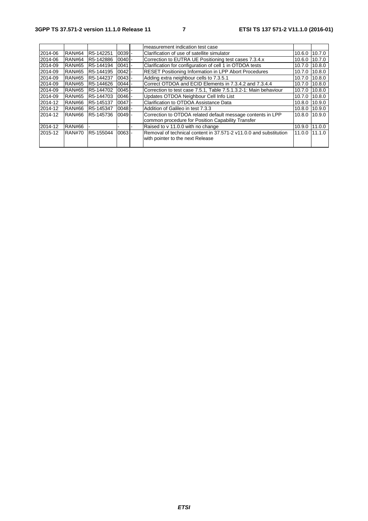|         |               |           |          | measurement indication test case                                  |                |        |
|---------|---------------|-----------|----------|-------------------------------------------------------------------|----------------|--------|
| 2014-06 | <b>RAN#64</b> | R5-142251 | $0039 -$ | Clarification of use of satellite simulator                       | 10.6.0         | 10.7.0 |
| 2014-06 | <b>RAN#64</b> | R5-142886 | $0040 -$ | Correction to EUTRA UE Positioning test cases 7.3.4.x             | 10.6.0         | 10.7.0 |
| 2014-09 | <b>RAN#65</b> | R5-144194 | $0041$ - | Clarification for configuration of cell 1 in OTDOA tests          | 10.7.0         | 10.8.0 |
| 2014-09 | <b>RAN#65</b> | R5-144195 | $0042 -$ | <b>RESET Positioning Information in LPP Abort Procedures</b>      | 10.7.0 $\vert$ | 10.8.0 |
| 2014-09 | <b>RAN#65</b> | R5-144237 | $0043 -$ | Adding extra neighbour cells to 7.3.5.1                           | 10.7.0         | 10.8.0 |
| 2014-09 | <b>RAN#65</b> | R5-144626 | $0044 -$ | Correct OTDOA and ECID Elements in 7.3.4.2 and 7.3.4.4            | 10.7.0         | 10.8.0 |
| 2014-09 | <b>RAN#65</b> | R5-144702 | $0045$ - | Correction to test case 7.5.1, Table 7.5.1.3.2-1: Main behaviour  | 10.7.0         | 10.8.0 |
| 2014-09 | <b>RAN#65</b> | R5-144703 | $0046 -$ | Updates OTDOA Neighbour Cell Info List                            | 10.7.0 10.8.0  |        |
| 2014-12 | <b>RAN#66</b> | R5-145137 | $0047$ - | Clarification to OTDOA Assistance Data                            | 10.8.0         | 10.9.0 |
| 2014-12 | RAN#66        | R5-145347 | $0048 -$ | Addition of Galileo in test 7.3.3                                 | 10.8.0 10.9.0  |        |
| 2014-12 | <b>RAN#66</b> | R5-145736 | $0049 -$ | Correction to OTDOA related default message contents in LPP       | 10.8.0 10.9.0  |        |
|         |               |           |          | common procedure for Position Capability Transfer                 |                |        |
| 2014-12 | <b>RAN#66</b> |           |          | Raised to v 11.0.0 with no change                                 | 10.9.0         | 11.0.0 |
| 2015-12 | <b>RAN#70</b> | R5-155044 | $0063 -$ | Removal of technical content in 37.571-2 v11.0.0 and substitution | 11.0.0 11.1.0  |        |
|         |               |           |          | with pointer to the next Release                                  |                |        |
|         |               |           |          |                                                                   |                |        |